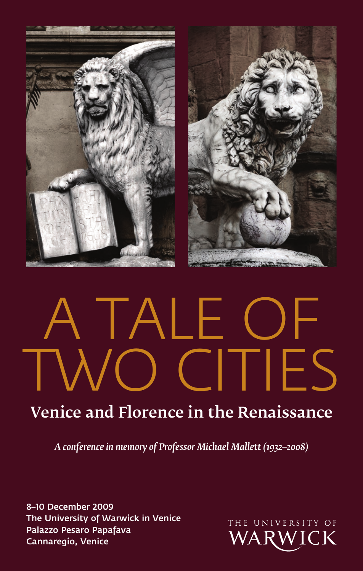



# TALE OF CITIES

# Venice and Florence in the Renaissance

*A conference in memory of Professor Michael Mallett (1932–2008)*

8–10 December 2009 The University of Warwick in Venice Palazzo Pesaro Papafava Cannaregio, Venice

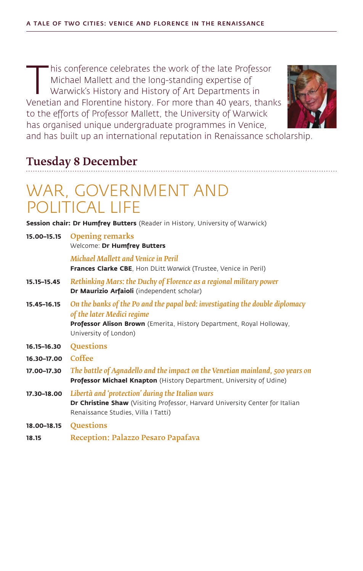T his conference celebrates the work of the late Professor<br>Michael Mallett and the long-standing expertise of<br>Warwick's History and History of Art Departments in<br>Venetian and Elorentine history. For more than 40 years, tha Michael Mallett and the long-standing expertise of Warwick's History and History of Art Departments in Venetian and Florentine history. For more than 40 years, thanks to the efforts of Professor Mallett, the University of Warwick has organised unique undergraduate programmes in Venice,



and has built up an international reputation in Renaissance scholarship.

#### Tuesday 8 December

## War, government and political life

**Session chair: Dr Humfrey Butters** (Reader in History, University of Warwick)

|             | 15.00-15.15 Opening remarks<br>Welcome: Dr Humfrey Butters                                                                                                                                                  |
|-------------|-------------------------------------------------------------------------------------------------------------------------------------------------------------------------------------------------------------|
|             | Michael Mallett and Venice in Peril<br>Frances Clarke CBE, Hon DLitt Warwick (Trustee, Venice in Peril)                                                                                                     |
| 15.15-15.45 | Rethinking Mars: the Duchy of Florence as a regional military power<br>Dr Maurizio Arfaioli (independent scholar)                                                                                           |
| 15.45-16.15 | On the banks of the Po and the papal bed: investigating the double diplomacy<br>of the later Medici regime<br>Professor Alison Brown (Emerita, History Department, Royal Holloway,<br>University of London) |
| 16.15–16.30 | Questions                                                                                                                                                                                                   |
| 16.30-17.00 | Coffee                                                                                                                                                                                                      |
| 17.00-17.30 | The battle of Aqnadello and the impact on the Venetian mainland, 500 years on<br>Professor Michael Knapton (History Department, University of Udine)                                                        |
| 17.30-18.00 | Libertà and 'protection' during the Italian wars<br>Dr Christine Shaw (Visiting Professor, Harvard University Center for Italian<br>Renaissance Studies, Villa I Tatti)                                     |
| 18.00-18.15 | <b>Questions</b>                                                                                                                                                                                            |
| 18.15       | Reception: Palazzo Pesaro Papafava                                                                                                                                                                          |
|             |                                                                                                                                                                                                             |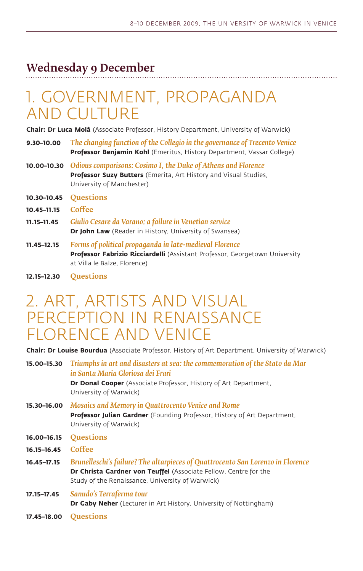#### Wednesday 9 December

## 1. Government, propaganda and culture

**Chair: Dr Luca Molà** (Associate Professor, History Department, University of Warwick)

- **9.30–10.00** *The changing function of the Collegio in the governance of Trecento Venice* **Professor Benjamin Kohl** (Emeritus, History Department, Vassar College)
- **10.00–10.30** *Odious comparisons: Cosimo I, the Duke of Athens and Florence* **Professor Suzy Butters** (Emerita, Art History and Visual Studies, University of Manchester)
- **10.30–10.45** Questions
- **10.45–11.15** Coffee
- **11.15–11.45** *Giulio Cesare da Varano: a failure in Venetian service* **Dr John Law** (Reader in History, University of Swansea)
- **11.45–12.15** *Forms of political propaganda in late-medieval Florence* **Professor Fabrizio Ricciardelli** (Assistant Professor, Georgetown University at Villa le Balze, Florence)
- **12.15–12.30** Questions

## 2. Art, artists and visual perception in Renaissance Florence and Venice

**Chair: Dr Louise Bourdua** (Associate Professor, History of Art Department, University of Warwick)

**15.00–15.30** *Triumphs in art and disasters at sea: the commemoration of the Stato da Mar in Santa Maria Gloriosa dei Frari* **Dr Donal Cooper** (Associate Professor, History of Art Department, University of Warwick)

- **15.30–16.00** *Mosaics and Memory in Quattrocento Venice and Rome* **Professor Julian Gardner** (Founding Professor, History of Art Department, University of Warwick)
- **16.00–16.15** Questions
- **16.15–16.45** Coffee
- **16.45–17.15** *Brunelleschi's failure? The altarpieces of Quattrocento San Lorenzo in Florence* **Dr Christa Gardner von Teuffel** (Associate Fellow, Centre for the Study of the Renaissance, University of Warwick)
- **17.15–17.45** *Sanudo's Terraferma tour* **Dr Gaby Neher** (Lecturer in Art History, University of Nottingham)
- **17.45–18.00** Questions